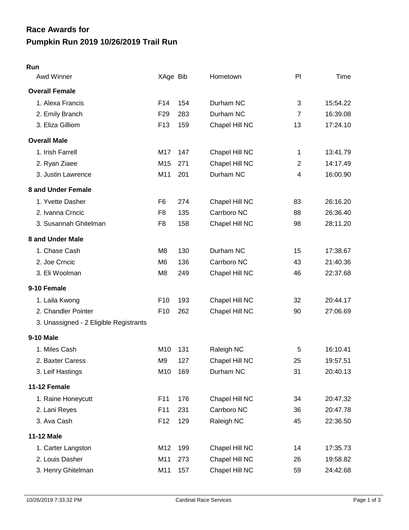## **Pumpkin Run 2019 10/26/2019 Trail Run Race Awards for**

## **Run**

| Awd Winner                             | XAge Bib        |     | Hometown       | PI             | Time     |
|----------------------------------------|-----------------|-----|----------------|----------------|----------|
| <b>Overall Female</b>                  |                 |     |                |                |          |
| 1. Alexa Francis                       | F <sub>14</sub> | 154 | Durham NC      | 3              | 15:54.22 |
| 2. Emily Branch                        | F <sub>29</sub> | 283 | Durham NC      | $\overline{7}$ | 16:39.08 |
| 3. Eliza Gilliom                       | F <sub>13</sub> | 159 | Chapel Hill NC | 13             | 17:24.10 |
| <b>Overall Male</b>                    |                 |     |                |                |          |
| 1. Irish Farrell                       | M17             | 147 | Chapel Hill NC | 1              | 13:41.79 |
| 2. Ryan Ziaee                          | M15             | 271 | Chapel Hill NC | $\overline{2}$ | 14:17.49 |
| 3. Justin Lawrence                     | M11             | 201 | Durham NC      | 4              | 16:00.90 |
| 8 and Under Female                     |                 |     |                |                |          |
| 1. Yvette Dasher                       | F <sub>6</sub>  | 274 | Chapel Hill NC | 83             | 26:16.20 |
| 2. Ivanna Crncic                       | F <sub>8</sub>  | 135 | Carrboro NC    | 88             | 26:36.40 |
| 3. Susannah Ghitelman                  | F8              | 158 | Chapel Hill NC | 98             | 28:11.20 |
| 8 and Under Male                       |                 |     |                |                |          |
| 1. Chase Cash                          | M8              | 130 | Durham NC      | 15             | 17:38.67 |
| 2. Joe Crncic                          | M <sub>6</sub>  | 136 | Carrboro NC    | 43             | 21:40.36 |
| 3. Eli Woolman                         | M8              | 249 | Chapel Hill NC | 46             | 22:37.68 |
| 9-10 Female                            |                 |     |                |                |          |
| 1. Laila Kwong                         | F <sub>10</sub> | 193 | Chapel Hill NC | 32             | 20:44.17 |
| 2. Chandler Pointer                    | F <sub>10</sub> | 262 | Chapel Hill NC | 90             | 27:06.69 |
| 3. Unassigned - 2 Eligible Registrants |                 |     |                |                |          |
| <b>9-10 Male</b>                       |                 |     |                |                |          |
| 1. Miles Cash                          | M <sub>10</sub> | 131 | Raleigh NC     | 5              | 16:10.41 |
| 2. Baxter Caress                       | M9              | 127 | Chapel Hill NC | 25             | 19:57.51 |
| 3. Leif Hastings                       | M10             | 169 | Durham NC      | 31             | 20:40.13 |
| 11-12 Female                           |                 |     |                |                |          |
| 1. Raine Honeycutt                     | F11             | 176 | Chapel Hill NC | 34             | 20:47.32 |
| 2. Lani Reyes                          | F11             | 231 | Carrboro NC    | 36             | 20:47.78 |
| 3. Ava Cash                            | F <sub>12</sub> | 129 | Raleigh NC     | 45             | 22:36.50 |
| 11-12 Male                             |                 |     |                |                |          |
| 1. Carter Langston                     | M12             | 199 | Chapel Hill NC | 14             | 17:35.73 |
| 2. Louis Dasher                        | M11             | 273 | Chapel Hill NC | 26             | 19:58.82 |
| 3. Henry Ghitelman                     | M11             | 157 | Chapel Hill NC | 59             | 24:42.68 |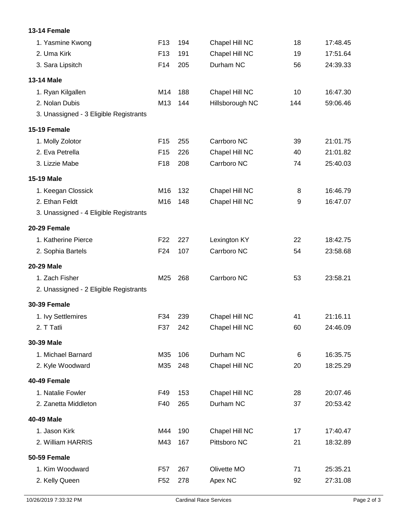## **13-14 Female**

| F <sub>13</sub> | 194 | Chapel Hill NC  | 18  | 17:48.45 |
|-----------------|-----|-----------------|-----|----------|
| F <sub>13</sub> | 191 | Chapel Hill NC  | 19  | 17:51.64 |
| F14             | 205 | Durham NC       | 56  | 24:39.33 |
|                 |     |                 |     |          |
| M14             | 188 | Chapel Hill NC  | 10  | 16:47.30 |
| M13             | 144 | Hillsborough NC | 144 | 59:06.46 |
|                 |     |                 |     |          |
|                 |     |                 |     |          |
| F <sub>15</sub> | 255 | Carrboro NC     | 39  | 21:01.75 |
| F <sub>15</sub> | 226 | Chapel Hill NC  | 40  | 21:01.82 |
| F <sub>18</sub> | 208 | Carrboro NC     | 74  | 25:40.03 |
|                 |     |                 |     |          |
| M16             | 132 | Chapel Hill NC  | 8   | 16:46.79 |
| M16             | 148 | Chapel Hill NC  | 9   | 16:47.07 |
|                 |     |                 |     |          |
|                 |     |                 |     |          |
| F <sub>22</sub> | 227 | Lexington KY    | 22  | 18:42.75 |
| F <sub>24</sub> | 107 | Carrboro NC     | 54  | 23:58.68 |
|                 |     |                 |     |          |
| M25             | 268 | Carrboro NC     | 53  | 23:58.21 |
|                 |     |                 |     |          |
|                 |     |                 |     |          |
| F34             | 239 | Chapel Hill NC  | 41  | 21:16.11 |
| F37             | 242 | Chapel Hill NC  | 60  | 24:46.09 |
|                 |     |                 |     |          |
| M35             | 106 | Durham NC       | 6   | 16:35.75 |
| M35             | 248 | Chapel Hill NC  | 20  | 18:25.29 |
|                 |     |                 |     |          |
| F49             | 153 | Chapel Hill NC  | 28  | 20:07.46 |
| F40             | 265 | Durham NC       | 37  | 20:53.42 |
|                 |     |                 |     |          |
| M44             | 190 | Chapel Hill NC  | 17  | 17:40.47 |
| M43             | 167 | Pittsboro NC    | 21  | 18:32.89 |
|                 |     |                 |     |          |
| F <sub>57</sub> | 267 | Olivette MO     | 71  | 25:35.21 |
| F <sub>52</sub> | 278 | Apex NC         | 92  | 27:31.08 |
|                 |     |                 |     |          |